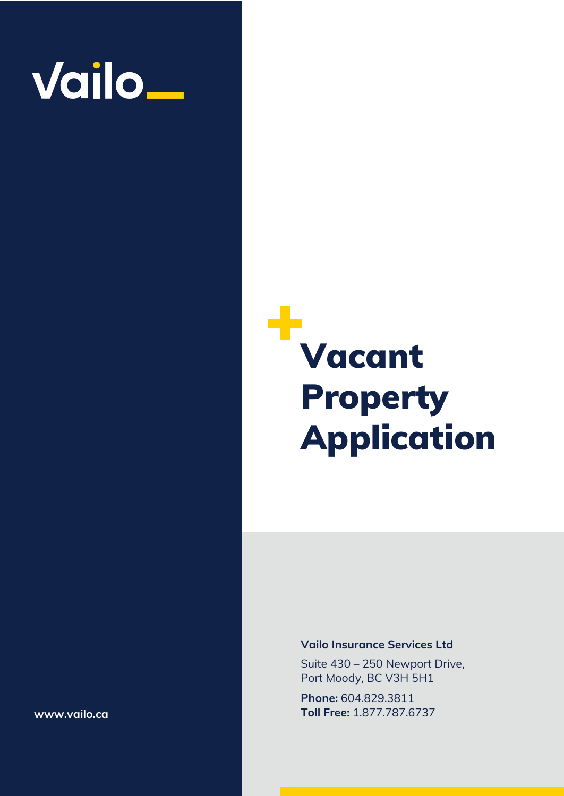

# Vacant Property Application

## **Vailo Insurance Services Ltd**

Suite 430 – 250 Newport Drive, Port Moody, BC V3H 5H1

**Phone:** 604.829.3811 **Toll Free:** 1.877.787.6737

**www.vailo.ca**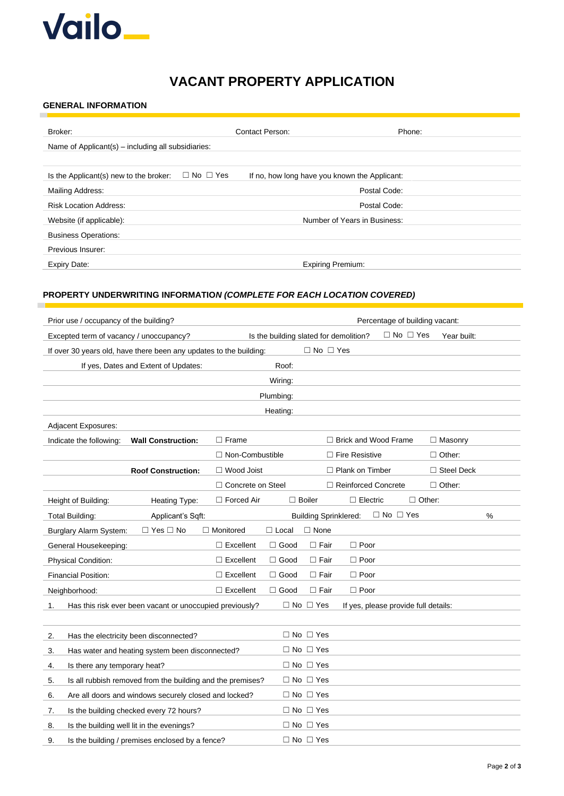

## **VACANT PROPERTY APPLICATION**

#### **GENERAL INFORMATION**

п

| Broker:                                            | Contact Person:                                                       | Phone:                       |
|----------------------------------------------------|-----------------------------------------------------------------------|------------------------------|
| Name of Applicant(s) - including all subsidiaries: |                                                                       |                              |
|                                                    |                                                                       |                              |
| Is the Applicant(s) new to the broker:             | $\Box$ No $\Box$ Yes<br>If no, how long have you known the Applicant: |                              |
| Mailing Address:                                   |                                                                       | Postal Code:                 |
| <b>Risk Location Address:</b>                      |                                                                       | Postal Code:                 |
| Website (if applicable):                           |                                                                       | Number of Years in Business: |
| <b>Business Operations:</b>                        |                                                                       |                              |
| Previous Insurer:                                  |                                                                       |                              |
| Expiry Date:                                       | <b>Expiring Premium:</b>                                              |                              |

## **PROPERTY UNDERWRITING INFORMATIO***N (COMPLETE FOR EACH LOCATION COVERED)*

| Prior use / occupancy of the building?                             | Percentage of building vacant: |                                        |                              |                                      |                      |                      |                   |   |
|--------------------------------------------------------------------|--------------------------------|----------------------------------------|------------------------------|--------------------------------------|----------------------|----------------------|-------------------|---|
| Excepted term of vacancy / unoccupancy?                            |                                | Is the building slated for demolition? |                              |                                      |                      | $\Box$ No $\Box$ Yes | Year built:       |   |
| If over 30 years old, have there been any updates to the building: |                                |                                        | $\Box$ No $\Box$ Yes         |                                      |                      |                      |                   |   |
| If yes, Dates and Extent of Updates:                               |                                | Roof:                                  |                              |                                      |                      |                      |                   |   |
|                                                                    |                                | Wiring:                                |                              |                                      |                      |                      |                   |   |
|                                                                    |                                | Plumbing:                              |                              |                                      |                      |                      |                   |   |
|                                                                    |                                | Heating:                               |                              |                                      |                      |                      |                   |   |
| Adjacent Exposures:                                                |                                |                                        |                              |                                      |                      |                      |                   |   |
| Indicate the following:<br><b>Wall Construction:</b>               | $\Box$ Frame                   |                                        |                              | $\Box$ Brick and Wood Frame          |                      |                      | $\Box$ Masonry    |   |
|                                                                    | $\Box$ Non-Combustible         |                                        |                              | $\Box$ Fire Resistive                |                      |                      | $\Box$ Other:     |   |
| <b>Roof Construction:</b>                                          | $\Box$ Wood Joist              |                                        |                              | $\Box$ Plank on Timber               |                      |                      | $\Box$ Steel Deck |   |
|                                                                    | $\Box$ Concrete on Steel       |                                        |                              | $\Box$ Reinforced Concrete           |                      |                      | $\Box$ Other:     |   |
| Height of Building:<br>Heating Type:                               | $\Box$ Forced Air              |                                        | $\Box$ Boiler                | $\Box$ Electric                      |                      | $\Box$ Other:        |                   |   |
| <b>Total Building:</b><br>Applicant's Sqft:                        |                                |                                        | <b>Building Sprinklered:</b> |                                      | $\Box$ No $\Box$ Yes |                      |                   | % |
| $\Box$ Yes $\Box$ No<br>Burglary Alarm System:                     | $\Box$ Monitored               | $\Box$ Local                           | $\Box$ None                  |                                      |                      |                      |                   |   |
| General Housekeeping:                                              | $\Box$ Excellent               | $\Box$ Good                            | $\Box$ Fair                  | $\Box$ Poor                          |                      |                      |                   |   |
| Physical Condition:                                                | $\Box$ Excellent               | $\Box$ Good                            | $\Box$ Fair                  | $\Box$ Poor                          |                      |                      |                   |   |
| Financial Position:                                                | $\Box$ Excellent               | $\Box$ Good                            | $\Box$ Fair                  | $\Box$ Poor                          |                      |                      |                   |   |
| Neighborhood:                                                      | $\Box$ Excellent               | $\Box$ Good                            | $\Box$ Fair                  | $\Box$ Poor                          |                      |                      |                   |   |
| Has this risk ever been vacant or unoccupied previously?<br>1.     |                                |                                        | $\Box$ No $\Box$ Yes         | If yes, please provide full details: |                      |                      |                   |   |
|                                                                    |                                |                                        |                              |                                      |                      |                      |                   |   |
| 2.<br>Has the electricity been disconnected?                       |                                |                                        | $\Box$ No $\Box$ Yes         |                                      |                      |                      |                   |   |
| 3.<br>Has water and heating system been disconnected?              |                                |                                        | $\Box$ No $\Box$ Yes         |                                      |                      |                      |                   |   |
| Is there any temporary heat?<br>4.                                 |                                |                                        | $\Box$ No $\Box$ Yes         |                                      |                      |                      |                   |   |
| Is all rubbish removed from the building and the premises?<br>5.   |                                |                                        | $\Box$ No $\Box$ Yes         |                                      |                      |                      |                   |   |
| Are all doors and windows securely closed and locked?<br>6.        |                                |                                        | $\Box$ No $\Box$ Yes         |                                      |                      |                      |                   |   |
| Is the building checked every 72 hours?<br>7.                      |                                |                                        | $\Box$ No $\Box$ Yes         |                                      |                      |                      |                   |   |
| Is the building well lit in the evenings?<br>8.                    |                                |                                        | $\Box$ No $\Box$ Yes         |                                      |                      |                      |                   |   |
| Is the building / premises enclosed by a fence?<br>9.              |                                |                                        | $\Box$ No $\Box$ Yes         |                                      |                      |                      |                   |   |